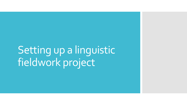Setting up a linguistic fieldwork project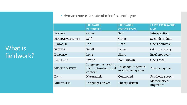# What is fieldwork?

|                       | <b>FIELDWORK</b>                                          | <b>FIELDWORK</b>                          | <b>LEAST FIELD-WORK-</b>            |
|-----------------------|-----------------------------------------------------------|-------------------------------------------|-------------------------------------|
|                       | <b>PROTOTYPE</b>                                          | <b>COUNTERTYPE</b>                        | <b>LIKE</b>                         |
| <b>ELICITEE</b>       | Other                                                     | Self                                      | Introspection                       |
| ELICITOR/OBSERVER     | Self                                                      | Other                                     | Secondary data                      |
| <b>DISTANCE</b>       | Far                                                       | Near                                      | One's domicile                      |
| <b>SETTING</b>        | Small                                                     | Large                                     | City, university                    |
| <b>DURATION</b>       | Long                                                      | Short                                     | Brief stopover                      |
| LANGUAGE              | Exotic                                                    | Well-known                                | One's own                           |
| <b>SUBJECT MATTER</b> | Languages as used in<br>their natural/cultural<br>context | Language in general<br>as a formal system | Abstract syntax                     |
| <b>DATA</b>           | Naturalistic                                              | Controlled                                | Synthetic speech                    |
| <b>MOTIVATION</b>     | Languages-driven                                          | Theory-driven                             | <b>Mathematical</b><br>$line\alpha$ |

linguistics

#### Hyman (2001): "a state of mind" -> prototype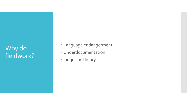# Why do fieldwork?

- Language endangerment
- Underdocumentation
- Linguistic theory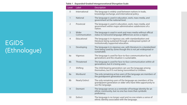# EGIDS (Ethnologue)

| Level          | Label                  | Description                                                                                                                                                    |
|----------------|------------------------|----------------------------------------------------------------------------------------------------------------------------------------------------------------|
| 0              | International          | The language is widely used between nations in trade,<br>knowledge exchange, and international policy.                                                         |
| 1              | National               | The language is used in education, work, mass media, and<br>government at the national level.                                                                  |
| $\overline{2}$ | Provincial             | The language is used in education, work, mass media, and<br>government within major administrative subdivisions of a<br>nation.                                |
| 3              | Wider<br>Communication | The language is used in work and mass media without official<br>status to transcend language differences across a region.                                      |
| 4              | Educational            | The language is in vigorous use, with standardization and<br>literature being sustained through a widespread system of<br>institutionally supported education. |
| 5              | Developing             | The language is in vigorous use, with literature in a standardized<br>form being used by some though this is not yet widespread or<br>sustainable.             |
| 6a             | Vigorous               | The language is used for face-to-face communication by all<br>generations and the situation is sustainable.                                                    |
| 6b             | Threatened             | The language is used for face-to-face communication within all<br>generations, but it is losing users.                                                         |
| 7              | Shifting               | The child-bearing generation can use the language among<br>themselves, but it is not being transmitted to children.                                            |
| 8a             | Moribund               | The only remaining active users of the language are members of<br>the grandparent generation and older.                                                        |
| 8b             | Nearly Extinct         | The only remaining users of the language are members of the<br>grandparent generation or older who have little opportunity to<br>use the language.             |
| 9              | Dormant                | The language serves as a reminder of heritage identity for an<br>ethnic community, but no one has more than symbolic<br>proficiency.                           |
| 10             | Extinct                | The language is no longer used and no one retains a sense of<br>ethnic identity associated with the language.                                                  |

#### Table 1 . Expanded Graded Intergenerational Disruption Scale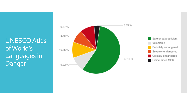# UNESCO Atlas of World's Languages in Danger

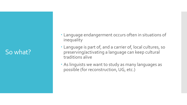## So what?

- Language endangerment occurs often in situations of inequality
- Language is part of, and a carrier of, local cultures, so preserving/activating a language can keep cultural traditions alive
- As linguists we want to study as many languages as possible (for reconstruction, UG, etc.)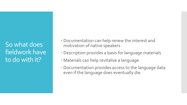So what does fieldwork have to do with it?

- Documentation can help renew the interest and motivation of native speakers
- Description provides a basis for language materials
- Materials can help revitalise a language
- Documentation provides access to the language data even if the language does eventually die.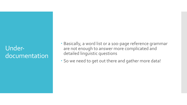# Underdocumentation

- Basically, a word list or a 100-page reference grammar are not enough to answer more complicated and detailed linguistic questions
- So we need to get out there and gather more data!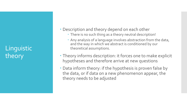# **Linguistic** theory

- Description and theory depend on each other
	- There is no such thing as a theory neutral description!
	- Any analysis of a language involves abstraction from the data, and the way in which we abstract is conditioned by our theoretical assumptions.
- Theory informs description: it forces one to make explicit hypotheses and therefore arrive at new questions
- Data inform theory: if the hypothesis is proven false by the data, or if data on a new phenomenon appear, the theory needs to be adjusted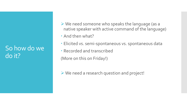### So how do we do it?

 $\triangleright$  We need someone who speaks the language (as a native speaker with active command of the language)

- And then what?
- Elicited vs. semi-spontaneous vs. spontaneous data
- Recorded and transcribed (More on this on Friday!)

Ø We need a research question and project!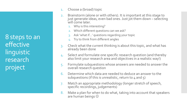8 steps to an effective linguistic research project

- 1. Choose a (broad) topic
- 2. Brainstorm (alone or with others). It is important at this stage to just generate ideas, even bad ones. Just jot them down – selecting will come later.
	- 1. Why is this interesting?
	- 2. Which different questions can we ask?
	- 3. Ask 'what if…' questions regarding your topic
	- 4. Try to think from different angles
- 3. Check what the current thinking is about this topic, and what has already been done
- 4. Select and formulate one specific research question (and thereby also limit your research area and objectives in a realistic way!)
- 5. Formulate subquestions whose answers are needed to answer the overall research question
- 6. Determine which data are needed to deduce an answer to the subquestions (if this is unrealistic, return to  $4$  and  $5$ )
- 7. Match an appropriate methodology (longer stretch of speech, specific recordings, judgements)
- 8. Make a plan for when to do what, taking into account that speakers are human beings  $\odot$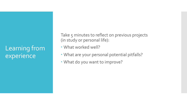#### Learning from experience

Take 5 minutes to reflect on previous projects (in study or personal life):

- What worked well?
- What are your personal potential pitfalls?
- What do you want to improve?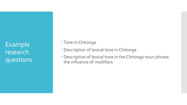Example research questions Tone in Chitonga

- Description of lexical tone in Chitonga
- Description of lexical tone in the Chitonga noun phrase: the influence of modifiers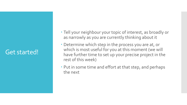## Get started!

- Tell your neighbour your topic of interest, as broadly or as narrowly as you are currently thinking about it
- Determine which step in the process you are at, or which is most useful for you at this moment (we will have further time to set up your precise project in the rest of this week)
- Put in some time and effort at that step, and perhaps the next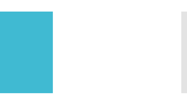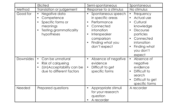|                  | <b>Elicited</b>                                                                                                          | Semi-spontaneous                                                                                                                                                 | Spontaneous                                                                                                                                                                                             |
|------------------|--------------------------------------------------------------------------------------------------------------------------|------------------------------------------------------------------------------------------------------------------------------------------------------------------|---------------------------------------------------------------------------------------------------------------------------------------------------------------------------------------------------------|
| Method           | Translation or judgement                                                                                                 | Response to a stimulus                                                                                                                                           | No stimulus                                                                                                                                                                                             |
| Good for         | Negative data<br>Competence<br>Specific forms or<br>meanings<br>Testing grammaticality<br>$\bullet$<br>hypotheses        | Spontaneous speech<br>$\bullet$<br>in specific areas<br>Performance<br>Connected<br>intonation<br>Interspeaker<br>comparison<br>Finding what you<br>don't expect | Frequency<br>$\bullet$<br>Actual use<br>Cultural<br>$\bullet$<br>knowledge<br><b>Discourse</b><br>$\bullet$<br>particles<br>Connected<br>intonation<br>Finding what<br>$\bullet$<br>you don't<br>expect |
| <b>Downsides</b> | Can be unnatural<br>$\bullet$<br>Risk of calqueing<br>$\bullet$<br>(Un) Acceptability can be<br>due to different factors | Absence of negative<br>$\bullet$<br>evidence<br>Difficult to get<br>$\bullet$<br>specific forms                                                                  | Absence of<br>$\bullet$<br>negative<br>evidence<br>Difficult to<br>search<br>Difficult to get<br>specific forms                                                                                         |
| <b>Needed</b>    | Prepared questions                                                                                                       | Appropriate stimuli<br>$\bullet$<br>for your research<br>question<br>A recorder                                                                                  | A recorder                                                                                                                                                                                              |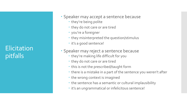# **Elicitation** pitfalls

- Speaker may accept a sentence because
	- they're being polite
	- they do not care or are tired
	- you're a foreigner
	- they misinterpreted the question/stimulus
	- · it's a good sentence!

#### Speaker may reject a sentence because

- they're making life difficult for you
- they do not care or are tired
- this is not the prescribed/taught form
- there is a mistake in a part of the sentence you weren't after
- the wrong context is imagined
- the sentence has a semantic or cultural implausibility
- $\cdot$  it's an ungrammatical or infelicitous sentence!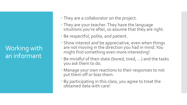Working with an informant

- They are a collaborator on the project.
- They are your teacher. They have the language intuitions you're after, so assume that they are right.
- Be respectful, polite, and patient.
- Show interest and be appreciative, even when things are not moving in the direction you had in mind. You might find something even more interesting!
- Be mindful of their state (bored, tired, …) and the tasks you ask them to do.
- Manage your own reactions to their responses to not put them off or bias them.
- By participating in this class, you agree to treat the obtained data with care!